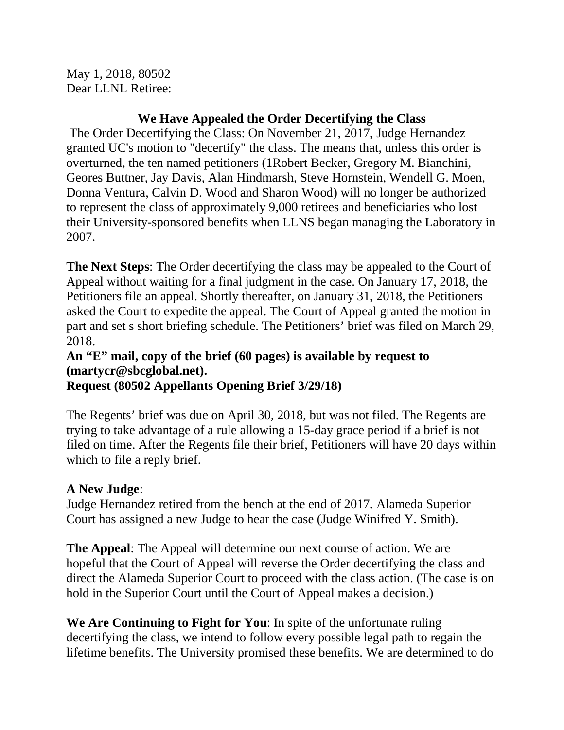May 1, 2018, 80502 Dear LLNL Retiree:

## **We Have Appealed the Order Decertifying the Class**

The Order Decertifying the Class: On November 21, 2017, Judge Hernandez granted UC's motion to "decertify" the class. The means that, unless this order is overturned, the ten named petitioners (1Robert Becker, Gregory M. Bianchini, Geores Buttner, Jay Davis, Alan Hindmarsh, Steve Hornstein, Wendell G. Moen, Donna Ventura, Calvin D. Wood and Sharon Wood) will no longer be authorized to represent the class of approximately 9,000 retirees and beneficiaries who lost their University-sponsored benefits when LLNS began managing the Laboratory in 2007.

**The Next Steps**: The Order decertifying the class may be appealed to the Court of Appeal without waiting for a final judgment in the case. On January 17, 2018, the Petitioners file an appeal. Shortly thereafter, on January 31, 2018, the Petitioners asked the Court to expedite the appeal. The Court of Appeal granted the motion in part and set s short briefing schedule. The Petitioners' brief was filed on March 29, 2018.

## **An "E" mail, copy of the brief (60 pages) is available by request to (martycr@sbcglobal.net). Request (80502 Appellants Opening Brief 3/29/18)**

The Regents' brief was due on April 30, 2018, but was not filed. The Regents are trying to take advantage of a rule allowing a 15-day grace period if a brief is not filed on time. After the Regents file their brief, Petitioners will have 20 days within which to file a reply brief.

## **A New Judge**:

Judge Hernandez retired from the bench at the end of 2017. Alameda Superior Court has assigned a new Judge to hear the case (Judge Winifred Y. Smith).

**The Appeal**: The Appeal will determine our next course of action. We are hopeful that the Court of Appeal will reverse the Order decertifying the class and direct the Alameda Superior Court to proceed with the class action. (The case is on hold in the Superior Court until the Court of Appeal makes a decision.)

**We Are Continuing to Fight for You**: In spite of the unfortunate ruling decertifying the class, we intend to follow every possible legal path to regain the lifetime benefits. The University promised these benefits. We are determined to do